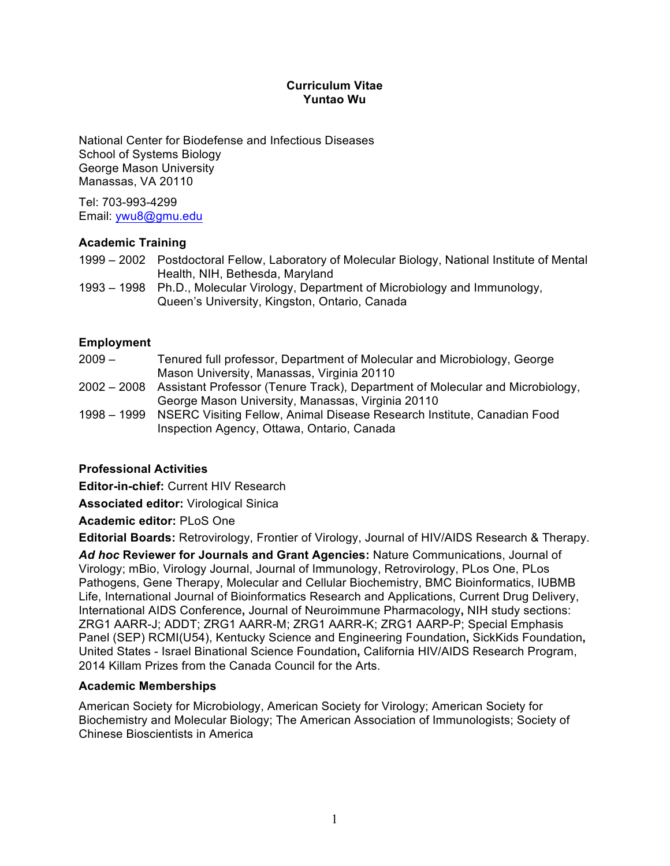### **Curriculum Vitae Yuntao Wu**

National Center for Biodefense and Infectious Diseases School of Systems Biology George Mason University Manassas, VA 20110

Tel: 703-993-4299 Email: ywu8@gmu.edu

# **Academic Training**

1999 – 2002 Postdoctoral Fellow, Laboratory of Molecular Biology, National Institute of Mental Health, NIH, Bethesda, Maryland

1993 – 1998 Ph.D., Molecular Virology, Department of Microbiology and Immunology, Queen's University, Kingston, Ontario, Canada

### **Employment**

- 2009 Tenured full professor, Department of Molecular and Microbiology, George Mason University, Manassas, Virginia 20110
- 2002 2008 Assistant Professor (Tenure Track), Department of Molecular and Microbiology, George Mason University, Manassas, Virginia 20110
- 1998 1999 NSERC Visiting Fellow, Animal Disease Research Institute, Canadian Food Inspection Agency, Ottawa, Ontario, Canada

### **Professional Activities**

**Editor-in-chief:** Current HIV Research

**Associated editor:** Virological Sinica

**Academic editor:** PLoS One

**Editorial Boards:** Retrovirology, Frontier of Virology, Journal of HIV/AIDS Research & Therapy.

*Ad hoc* **Reviewer for Journals and Grant Agencies:** Nature Communications, Journal of Virology; mBio, Virology Journal, Journal of Immunology, Retrovirology, PLos One, PLos Pathogens, Gene Therapy, Molecular and Cellular Biochemistry, BMC Bioinformatics, IUBMB Life, International Journal of Bioinformatics Research and Applications, Current Drug Delivery, International AIDS Conference**,** Journal of Neuroimmune Pharmacology**,** NIH study sections: ZRG1 AARR-J; ADDT; ZRG1 AARR-M; ZRG1 AARR-K; ZRG1 AARP-P; Special Emphasis Panel (SEP) RCMI(U54), Kentucky Science and Engineering Foundation**,** SickKids Foundation**,**  United States - Israel Binational Science Foundation**,** California HIV/AIDS Research Program, 2014 Killam Prizes from the Canada Council for the Arts.

### **Academic Memberships**

American Society for Microbiology, American Society for Virology; American Society for Biochemistry and Molecular Biology; The American Association of Immunologists; Society of Chinese Bioscientists in America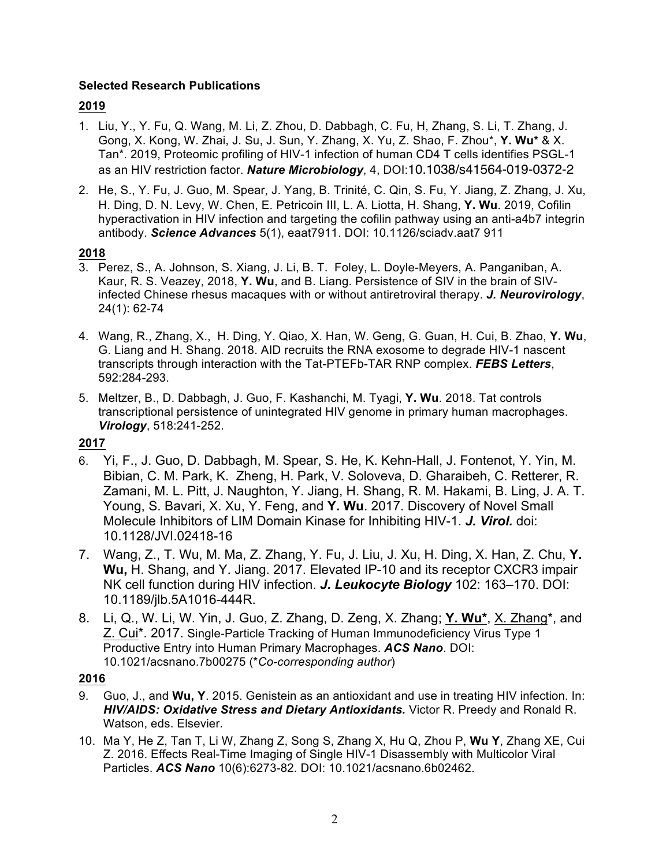# **Selected Research Publications**

# **2019**

- 1. Liu, Y., Y. Fu, Q. Wang, M. Li, Z. Zhou, D. Dabbagh, C. Fu, H, Zhang, S. Li, T. Zhang, J. Gong, X. Kong, W. Zhai, J. Su, J. Sun, Y. Zhang, X. Yu, Z. Shao, F. Zhou\*, **Y. Wu\*** & X. Tan\*. 2019, Proteomic profiling of HIV-1 infection of human CD4 T cells identifies PSGL-1 as an HIV restriction factor. *Nature Microbiology*, 4, DOI:10.1038/s41564-019-0372-2
- 2. He, S., Y. Fu, J. Guo, M. Spear, J. Yang, B. Trinité, C. Qin, S. Fu, Y. Jiang, Z. Zhang, J. Xu, H. Ding, D. N. Levy, W. Chen, E. Petricoin III, L. A. Liotta, H. Shang, **Y. Wu**. 2019, Cofilin hyperactivation in HIV infection and targeting the cofilin pathway using an anti-a4b7 integrin antibody. *Science Advances* 5(1), eaat7911. DOI: 10.1126/sciadv.aat7 911

# **2018**

- 3. Perez, S., A. Johnson, S. Xiang, J. Li, B. T. Foley, L. Doyle-Meyers, A. Panganiban, A. Kaur, R. S. Veazey, 2018, **Y. Wu**, and B. Liang. Persistence of SIV in the brain of SIVinfected Chinese rhesus macaques with or without antiretroviral therapy. *J. Neurovirology*, 24(1): 62-74
- 4. Wang, R., Zhang, X., H. Ding, Y. Qiao, X. Han, W. Geng, G. Guan, H. Cui, B. Zhao, **Y. Wu**, G. Liang and H. Shang. 2018. AID recruits the RNA exosome to degrade HIV-1 nascent transcripts through interaction with the Tat-PTEFb-TAR RNP complex. *FEBS Letters*, 592:284-293.
- 5. Meltzer, B., D. Dabbagh, J. Guo, F. Kashanchi, M. Tyagi, **Y. Wu**. 2018. Tat controls transcriptional persistence of unintegrated HIV genome in primary human macrophages. *Virology*, 518:241-252.

# **2017**

- 6. Yi, F., J. Guo, D. Dabbagh, M. Spear, S. He, K. Kehn-Hall, J. Fontenot, Y. Yin, M. Bibian, C. M. Park, K. Zheng, H. Park, V. Soloveva, D. Gharaibeh, C. Retterer, R. Zamani, M. L. Pitt, J. Naughton, Y. Jiang, H. Shang, R. M. Hakami, B. Ling, J. A. T. Young, S. Bavari, X. Xu, Y. Feng, and **Y. Wu**. 2017. Discovery of Novel Small Molecule Inhibitors of LIM Domain Kinase for Inhibiting HIV-1. *J. Virol.* doi: 10.1128/JVI.02418-16
- 7. Wang, Z., T. Wu, M. Ma, Z. Zhang, Y. Fu, J. Liu, J. Xu, H. Ding, X. Han, Z. Chu, **Y. Wu,** H. Shang, and Y. Jiang. 2017. Elevated IP-10 and its receptor CXCR3 impair NK cell function during HIV infection. *J. Leukocyte Biology* 102: 163–170. DOI: 10.1189/jlb.5A1016-444R.
- 8. Li, Q., W. Li, W. Yin, J. Guo, Z. Zhang, D. Zeng, X. Zhang; **Y. Wu\***, X. Zhang\*, and Z. Cui\*. 2017. Single-Particle Tracking of Human Immunodeficiency Virus Type 1 Productive Entry into Human Primary Macrophages. *ACS Nano*. DOI: 10.1021/acsnano.7b00275 (\**Co-corresponding author*)

### **2016**

- 9. Guo, J., and **Wu, Y**. 2015. Genistein as an antioxidant and use in treating HIV infection. In: *HIV/AIDS: Oxidative Stress and Dietary Antioxidants.* Victor R. Preedy and Ronald R. Watson, eds. Elsevier.
- 10. Ma Y, He Z, Tan T, Li W, Zhang Z, Song S, Zhang X, Hu Q, Zhou P, **Wu Y**, Zhang XE, Cui Z. 2016. Effects Real-Time Imaging of Single HIV-1 Disassembly with Multicolor Viral Particles. *ACS Nano* 10(6):6273-82. DOI: 10.1021/acsnano.6b02462.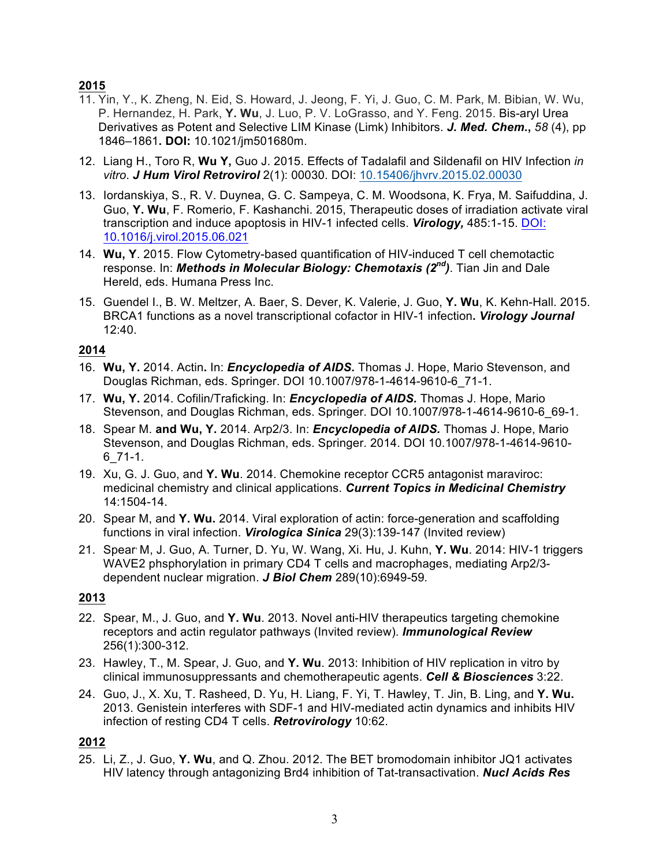# **2015**

- 11. Yin, Y., K. Zheng, N. Eid, S. Howard, J. Jeong, F. Yi, J. Guo, C. M. Park, M. Bibian, W. Wu, P. Hernandez, H. Park, **Y. Wu**, J. Luo, P. V. LoGrasso, and Y. Feng. 2015. Bis-aryl Urea Derivatives as Potent and Selective LIM Kinase (Limk) Inhibitors. *J. Med. Chem.***,** *58* (4), pp 1846–1861**. DOI:** 10.1021/jm501680m.
- 12. Liang H., Toro R, **Wu Y,** Guo J. 2015. Effects of Tadalafil and Sildenafil on HIV Infection *in vitro*. *J Hum Virol Retrovirol* 2(1): 00030. DOI: 10.15406/jhvrv.2015.02.00030
- 13. Iordanskiya, S., R. V. Duynea, G. C. Sampeya, C. M. Woodsona, K. Frya, M. Saifuddina, J. Guo, **Y. Wu**, F. Romerio, F. Kashanchi. 2015, Therapeutic doses of irradiation activate viral transcription and induce apoptosis in HIV-1 infected cells. *Virology,* 485:1-15. DOI: 10.1016/j.virol.2015.06.021
- 14. **Wu, Y**. 2015. Flow Cytometry-based quantification of HIV-induced T cell chemotactic response. In: *Methods in Molecular Biology: Chemotaxis (2nd)*. Tian Jin and Dale Hereld, eds. Humana Press Inc.
- 15. Guendel I., B. W. Meltzer, A. Baer, S. Dever, K. Valerie, J. Guo, **Y. Wu**, K. Kehn-Hall. 2015. BRCA1 functions as a novel transcriptional cofactor in HIV-1 infection**.** *Virology Journal*  $12.40$

# **2014**

- 16. **Wu, Y.** 2014. Actin**.** In: *Encyclopedia of AIDS.* Thomas J. Hope, Mario Stevenson, and Douglas Richman, eds. Springer. DOI 10.1007/978-1-4614-9610-6\_71-1.
- 17. **Wu, Y.** 2014. Cofilin/Traficking. In: *Encyclopedia of AIDS.* Thomas J. Hope, Mario Stevenson, and Douglas Richman, eds. Springer. DOI 10.1007/978-1-4614-9610-6\_69-1.
- 18. Spear M. **and Wu, Y.** 2014. Arp2/3. In: *Encyclopedia of AIDS.* Thomas J. Hope, Mario Stevenson, and Douglas Richman, eds. Springer. 2014. DOI 10.1007/978-1-4614-9610- 6\_71-1.
- 19. Xu, G. J. Guo, and **Y. Wu**. 2014. Chemokine receptor CCR5 antagonist maraviroc: medicinal chemistry and clinical applications. *Current Topics in Medicinal Chemistry* 14:1504-14.
- 20. Spear M, and **Y. Wu.** 2014. Viral exploration of actin: force-generation and scaffolding functions in viral infection. *Virologica Sinica* 29(3):139-147 (Invited review)
- 21. Spear, M, J. Guo, A. Turner, D. Yu, W. Wang, Xi. Hu, J. Kuhn, **Y. Wu**. 2014: HIV-1 triggers WAVE2 phsphorylation in primary CD4 T cells and macrophages, mediating Arp2/3 dependent nuclear migration. *J Biol Chem* 289(10):6949-59*.*

# **2013**

- 22. Spear, M., J. Guo, and **Y. Wu**. 2013. Novel anti-HIV therapeutics targeting chemokine receptors and actin regulator pathways (Invited review). *Immunological Review* 256(1):300-312.
- 23. Hawley, T., M. Spear, J. Guo, and **Y. Wu**. 2013: Inhibition of HIV replication in vitro by clinical immunosuppressants and chemotherapeutic agents. *Cell & Biosciences* 3:22.
- 24. Guo, J., X. Xu, T. Rasheed, D. Yu, H. Liang, F. Yi, T. Hawley, T. Jin, B. Ling, and **Y. Wu.** 2013. Genistein interferes with SDF-1 and HIV-mediated actin dynamics and inhibits HIV infection of resting CD4 T cells. *Retrovirology* 10:62.

### **2012**

25. Li, Z., J. Guo, **Y. Wu**, and Q. Zhou. 2012. The BET bromodomain inhibitor JQ1 activates HIV latency through antagonizing Brd4 inhibition of Tat-transactivation. *Nucl Acids Res*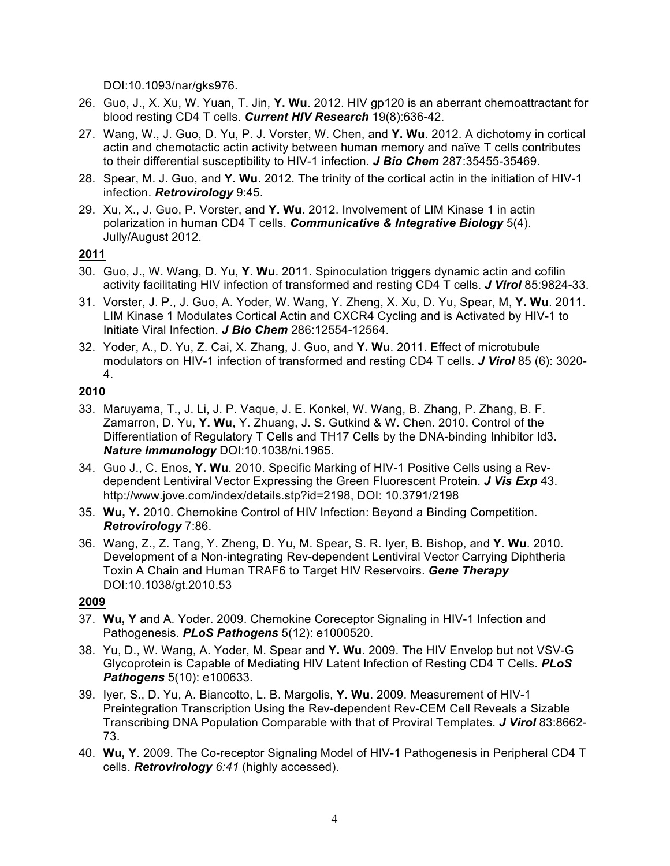DOI:10.1093/nar/gks976.

- 26. Guo, J., X. Xu, W. Yuan, T. Jin, **Y. Wu**. 2012. HIV gp120 is an aberrant chemoattractant for blood resting CD4 T cells. *Current HIV Research* 19(8):636-42.
- 27. Wang, W., J. Guo, D. Yu, P. J. Vorster, W. Chen, and **Y. Wu**. 2012. A dichotomy in cortical actin and chemotactic actin activity between human memory and naïve T cells contributes to their differential susceptibility to HIV-1 infection. *J Bio Chem* 287:35455-35469.
- 28. Spear, M. J. Guo, and **Y. Wu**. 2012. The trinity of the cortical actin in the initiation of HIV-1 infection. *Retrovirology* 9:45.
- 29. Xu, X., J. Guo, P. Vorster, and **Y. Wu.** 2012. Involvement of LIM Kinase 1 in actin polarization in human CD4 T cells. *Communicative & Integrative Biology* 5(4). Jully/August 2012.

# **2011**

- 30. Guo, J., W. Wang, D. Yu, **Y. Wu**. 2011. Spinoculation triggers dynamic actin and cofilin activity facilitating HIV infection of transformed and resting CD4 T cells. *J Virol* 85:9824-33.
- 31. Vorster, J. P., J. Guo, A. Yoder, W. Wang, Y. Zheng, X. Xu, D. Yu, Spear, M, **Y. Wu**. 2011. LIM Kinase 1 Modulates Cortical Actin and CXCR4 Cycling and is Activated by HIV-1 to Initiate Viral Infection. *J Bio Chem* 286:12554-12564.
- 32. Yoder, A., D. Yu, Z. Cai, X. Zhang, J. Guo, and **Y. Wu**. 2011. Effect of microtubule modulators on HIV-1 infection of transformed and resting CD4 T cells. *J Virol* 85 (6): 3020- 4.

# **2010**

- 33. Maruyama, T., J. Li, J. P. Vaque, J. E. Konkel, W. Wang, B. Zhang, P. Zhang, B. F. Zamarron, D. Yu, **Y. Wu**, Y. Zhuang, J. S. Gutkind & W. Chen. 2010. Control of the Differentiation of Regulatory T Cells and TH17 Cells by the DNA-binding Inhibitor Id3. *Nature Immunology* DOI:10.1038/ni.1965.
- 34. Guo J., C. Enos, **Y. Wu**. 2010. Specific Marking of HIV-1 Positive Cells using a Revdependent Lentiviral Vector Expressing the Green Fluorescent Protein. *J Vis Exp* 43. http://www.jove.com/index/details.stp?id=2198, DOI: 10.3791/2198
- 35. **Wu, Y.** 2010. Chemokine Control of HIV Infection: Beyond a Binding Competition. *Retrovirology* 7:86.
- 36. Wang, Z., Z. Tang, Y. Zheng, D. Yu, M. Spear, S. R. Iyer, B. Bishop, and **Y. Wu**. 2010. Development of a Non-integrating Rev-dependent Lentiviral Vector Carrying Diphtheria Toxin A Chain and Human TRAF6 to Target HIV Reservoirs. *Gene Therapy* DOI:10.1038/gt.2010.53

# **2009**

- 37. **Wu, Y** and A. Yoder. 2009. Chemokine Coreceptor Signaling in HIV-1 Infection and Pathogenesis. *PLoS Pathogens* 5(12): e1000520.
- 38. Yu, D., W. Wang, A. Yoder, M. Spear and **Y. Wu**. 2009. The HIV Envelop but not VSV-G Glycoprotein is Capable of Mediating HIV Latent Infection of Resting CD4 T Cells. *PLoS Pathogens* 5(10): e100633.
- 39. Iyer, S., D. Yu, A. Biancotto, L. B. Margolis, **Y. Wu**. 2009. Measurement of HIV-1 Preintegration Transcription Using the Rev-dependent Rev-CEM Cell Reveals a Sizable Transcribing DNA Population Comparable with that of Proviral Templates. *J Virol* 83:8662- 73.
- 40. **Wu, Y**. 2009. The Co-receptor Signaling Model of HIV-1 Pathogenesis in Peripheral CD4 T cells. *Retrovirology 6:41* (highly accessed).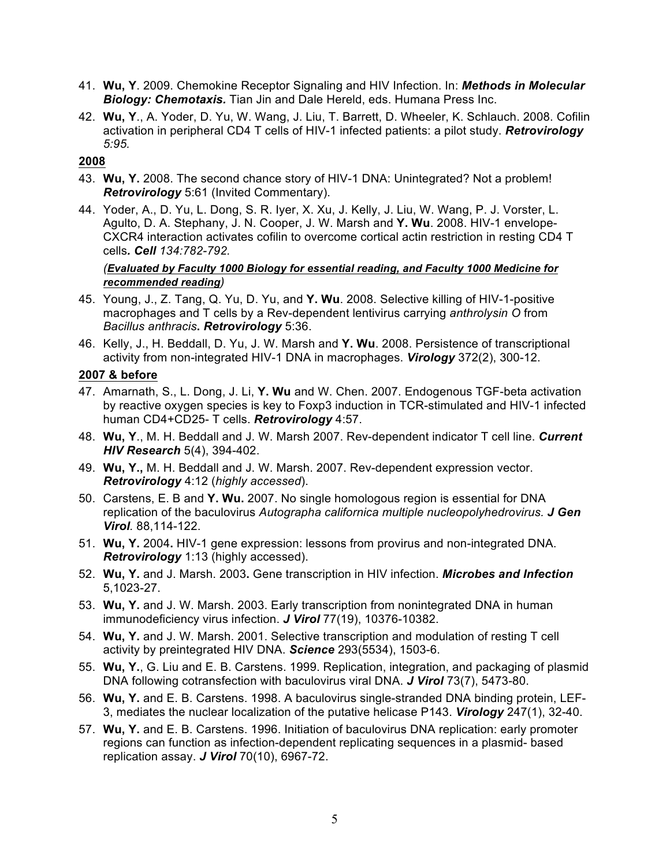- 41. **Wu, Y**. 2009. Chemokine Receptor Signaling and HIV Infection. In: *Methods in Molecular Biology: Chemotaxis.* Tian Jin and Dale Hereld, eds. Humana Press Inc.
- 42. **Wu, Y**., A. Yoder, D. Yu, W. Wang, J. Liu, T. Barrett, D. Wheeler, K. Schlauch. 2008. Cofilin activation in peripheral CD4 T cells of HIV-1 infected patients: a pilot study. *Retrovirology 5:95.*

#### **2008**

- 43. **Wu, Y.** 2008. The second chance story of HIV-1 DNA: Unintegrated? Not a problem! *Retrovirology* 5:61 (Invited Commentary).
- 44. Yoder, A., D. Yu, L. Dong, S. R. Iyer, X. Xu, J. Kelly, J. Liu, W. Wang, P. J. Vorster, L. Agulto, D. A. Stephany, J. N. Cooper, J. W. Marsh and **Y. Wu**. 2008. HIV-1 envelope-CXCR4 interaction activates cofilin to overcome cortical actin restriction in resting CD4 T cells*. Cell 134:782-792.*

#### *(Evaluated by Faculty 1000 Biology for essential reading, and Faculty 1000 Medicine for recommended reading)*

- 45. Young, J., Z. Tang, Q. Yu, D. Yu, and **Y. Wu**. 2008. Selective killing of HIV-1-positive macrophages and T cells by a Rev-dependent lentivirus carrying *anthrolysin O* from *Bacillus anthracis***.** *Retrovirology* 5:36.
- 46. Kelly, J., H. Beddall, D. Yu, J. W. Marsh and **Y. Wu**. 2008. Persistence of transcriptional activity from non-integrated HIV-1 DNA in macrophages. *Virology* 372(2), 300-12.

#### **2007 & before**

- 47. Amarnath, S., L. Dong, J. Li, **Y. Wu** and W. Chen. 2007. Endogenous TGF-beta activation by reactive oxygen species is key to Foxp3 induction in TCR-stimulated and HIV-1 infected human CD4+CD25- T cells. *Retrovirology* 4:57.
- 48. **Wu, Y**., M. H. Beddall and J. W. Marsh 2007. Rev-dependent indicator T cell line. *Current HIV Research* 5(4), 394-402.
- 49. **Wu, Y.,** M. H. Beddall and J. W. Marsh. 2007. Rev-dependent expression vector. *Retrovirology* 4:12 (*highly accessed*).
- 50. Carstens, E. B and **Y. Wu.** 2007. No single homologous region is essential for DNA replication of the baculovirus *Autographa californica multiple nucleopolyhedrovirus. J Gen Virol.* 88,114-122.
- 51. **Wu, Y.** 2004**.** HIV-1 gene expression: lessons from provirus and non-integrated DNA. *Retrovirology* 1:13 (highly accessed).
- 52. **Wu, Y.** and J. Marsh. 2003**.** Gene transcription in HIV infection. *Microbes and Infection* 5,1023-27.
- 53. **Wu, Y.** and J. W. Marsh. 2003. Early transcription from nonintegrated DNA in human immunodeficiency virus infection. *J Virol* 77(19), 10376-10382.
- 54. **Wu, Y.** and J. W. Marsh. 2001. Selective transcription and modulation of resting T cell activity by preintegrated HIV DNA. *Science* 293(5534), 1503-6.
- 55. **Wu, Y.**, G. Liu and E. B. Carstens. 1999. Replication, integration, and packaging of plasmid DNA following cotransfection with baculovirus viral DNA. *J Virol* 73(7), 5473-80.
- 56. **Wu, Y.** and E. B. Carstens. 1998. A baculovirus single-stranded DNA binding protein, LEF-3, mediates the nuclear localization of the putative helicase P143. *Virology* 247(1), 32-40.
- 57. **Wu, Y.** and E. B. Carstens. 1996. Initiation of baculovirus DNA replication: early promoter regions can function as infection-dependent replicating sequences in a plasmid- based replication assay. *J Virol* 70(10), 6967-72.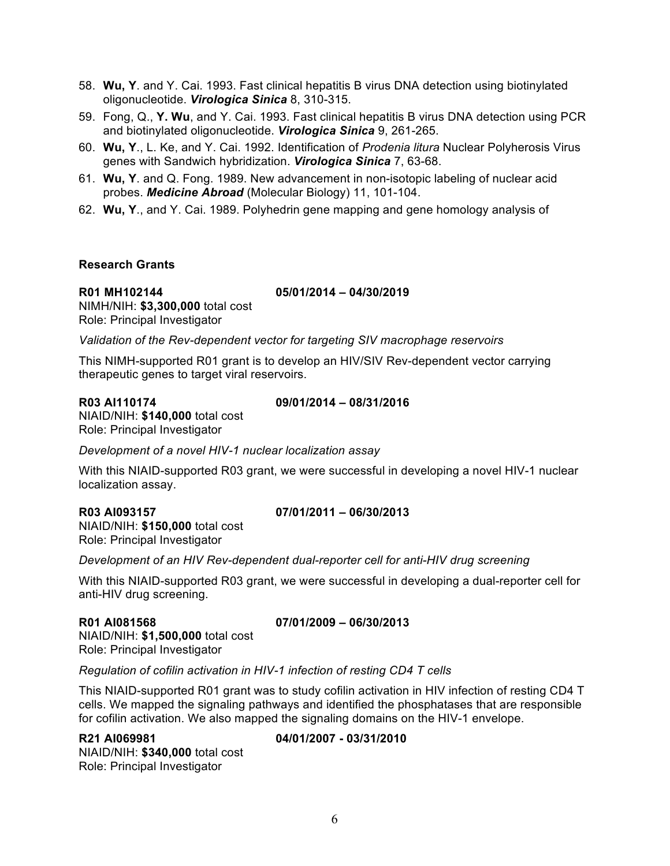- 58. **Wu, Y**. and Y. Cai. 1993. Fast clinical hepatitis B virus DNA detection using biotinylated oligonucleotide. *Virologica Sinica* 8, 310-315.
- 59. Fong, Q., **Y. Wu**, and Y. Cai. 1993. Fast clinical hepatitis B virus DNA detection using PCR and biotinylated oligonucleotide. *Virologica Sinica* 9, 261-265.
- 60. **Wu, Y**., L. Ke, and Y. Cai. 1992. Identification of *Prodenia litura* Nuclear Polyherosis Virus genes with Sandwich hybridization. *Virologica Sinica* 7, 63-68.
- 61. **Wu, Y**. and Q. Fong. 1989. New advancement in non-isotopic labeling of nuclear acid probes. *Medicine Abroad* (Molecular Biology) 11, 101-104.
- 62. **Wu, Y**., and Y. Cai. 1989. Polyhedrin gene mapping and gene homology analysis of

#### **Research Grants**

# **R01 MH102144 05/01/2014 – 04/30/2019**

NIMH/NIH: **\$3,300,000** total cost Role: Principal Investigator

*Validation of the Rev-dependent vector for targeting SIV macrophage reservoirs*

This NIMH-supported R01 grant is to develop an HIV/SIV Rev-dependent vector carrying therapeutic genes to target viral reservoirs.

**R03 AI110174 09/01/2014 – 08/31/2016**

NIAID/NIH: **\$140,000** total cost Role: Principal Investigator

*Development of a novel HIV-1 nuclear localization assay*

With this NIAID-supported R03 grant, we were successful in developing a novel HIV-1 nuclear localization assay.

# **R03 AI093157 07/01/2011 – 06/30/2013**

NIAID/NIH: **\$150,000** total cost Role: Principal Investigator

*Development of an HIV Rev-dependent dual-reporter cell for anti-HIV drug screening*

With this NIAID-supported R03 grant, we were successful in developing a dual-reporter cell for anti-HIV drug screening.

### **R01 AI081568 07/01/2009 – 06/30/2013**

NIAID/NIH: **\$1,500,000** total cost Role: Principal Investigator

*Regulation of cofilin activation in HIV-1 infection of resting CD4 T cells*

This NIAID-supported R01 grant was to study cofilin activation in HIV infection of resting CD4 T cells. We mapped the signaling pathways and identified the phosphatases that are responsible for cofilin activation. We also mapped the signaling domains on the HIV-1 envelope.

# **R21 AI069981 04/01/2007 - 03/31/2010**

NIAID/NIH: **\$340,000** total cost Role: Principal Investigator